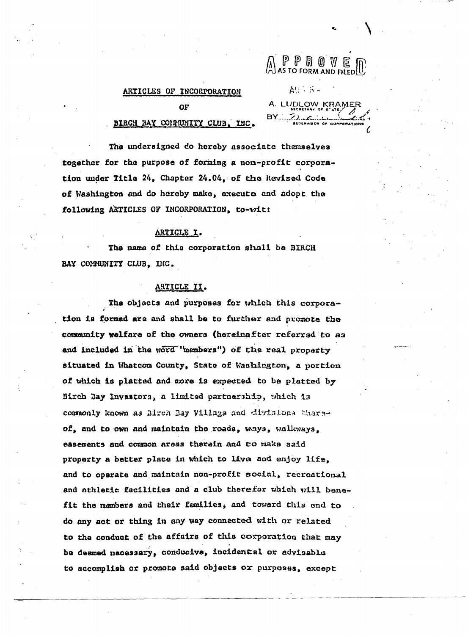# ARTICLES OF INCORPORATION

P P R O V E<br>AS TO FORM AND FILED

A. LUDLOW KRAMER

 $A! : 5 -$ 

OF

#### INC. BIRCH BAY COMMUNITY CLUB.

The undersigned do hereby associate themselves together for the purpose of forming a non-profit corporation under Title 24, Chapter 24.04, of the Revised Code of Washington and do hereby make, execute and adopt the following ARTICLES OF INCORPORATION, to-wit:

# ARTICLE I.

The name of this corporation shall be BIRCH BAY COMMUNITY CLUB, INC.

# ARTICLE II.

The objects and purposes for which this corporation is formed are and shall be to further and promote the community welfare of the owners (hereinafter referred to as and included in the word "members") of the real property situated in Whatcom County, State of Washington, a portion of which is platted and more is expected to be platted by Birch Day Investors, a limited partnership, which is commonly known as Birch Bay Villags and divisions thereof, and to own and maintain the roads, ways, walkways, easements and common areas therein and to make said proparty a better place in which to live and enjoy life, and to operate and maintain non-profit social, recreational and athletic facilities and a club therefor which will benefit the members and their families, and toward this end to do any act or thing in any way connected with or related to the conduct of the affairs of this corporation that may be deemed necessary, conducive, incidental or advisable to accomplish or promota said objects or purposes, except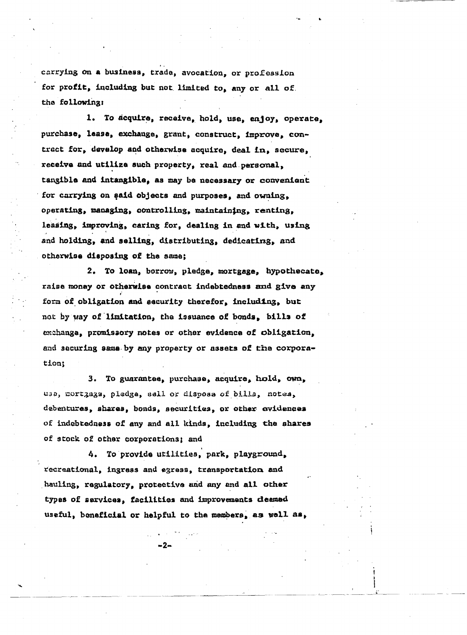carrying on a business, trade, avocation, or profession for profit, including but not limited to, any or all of. the following:

1. To acquire, recaive, hold, use, enjoy, operate, purchase, lease, exchange, grant, construct, improve, contract for, develop and otherwise acquire, deal in, secure, receive and utilize such property, real and personal, tangible and intangible, as may be necessary or convenient for carrying on said objects and purposes, and owning. operating, managing, controlling, maintaining, renting, leasing, improving, caring for, dealing in and with, using and holding, and selling, distributing, dedicating, and otherwise disposing of the same;

2. To loan, borrow, pledge, mortgage, hypothecate, raise money or otherwise contract indebtedness and give any form of obligation and security therefor, including, but not by way of limitation, the issuance of bonds, bills of exchange, promissory notes or other evidence of obligation, and securing same by any property or assets of the corporation;

3. To guarantee, purchase, acquire, hold, own, usa, mortzaga, pledga, sall or disposa of billa, notes, debentures, shares, bonds, securities, or other evidences of indebtedness of any and all kinds, including the shares of stock of other corporations; and

4. To provide utilities, park, playground, recreational, ingress and egress, transportation and hauling, regulatory, protective and any and all other types of services, facilities and improvements deemed useful, boneficial or helpful to the members, as well as,

-2.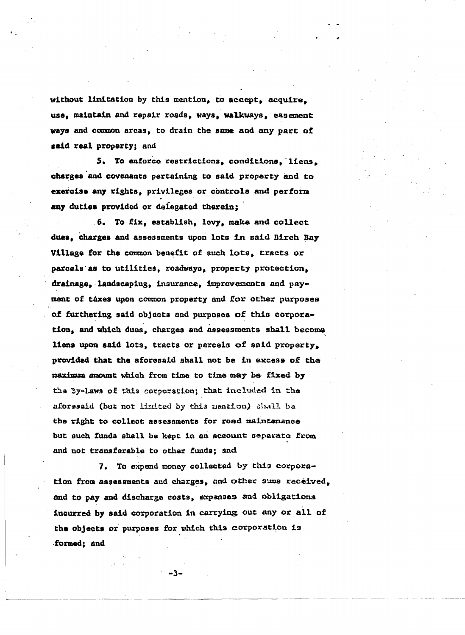without limitation by this mention, to accept, acquire. use, maintain and repair roads, ways, walkways, easement ways and common areas, to drain the same and any part of said real property; and

5. To enforce restrictions, conditions, liens. charges and covenants pertaining to said property and to exercise any rights, privileges or controls and perform any duties provided or delegated therein:

6. To fix, establish, levy, make and collect dues, charges and assessments upon lots in said Birch Bay Village for the common benefit of such lots, tracts or parcels as to utilities, roadways, property protection, drainage, landscaping, insurance, improvements and payment of taxes upon common property and for other purposes of furthering said objects and purposes of this corporation, and which dues, charges and assessments shall become liens upon said lots, tracts or parcels of said property, provided that the aforesaid shall not be in excess of the maximum amount which from time to time may be fixed by the By-laws of this corporation; that included in the aforssaid (but not limited by this mantion) shall be the right to collect assessments for road maintenance but such funds shall be kept in an account separate from and not transferable to other funds; and

7. To expend money collected by this corporation from assessments and charges, and other sums received, and to pay and discharge costs, expenses and obligations incurred by said corporation in carrying out any or all of the objects or purposes for which this corporation is formed; and

 $-3-$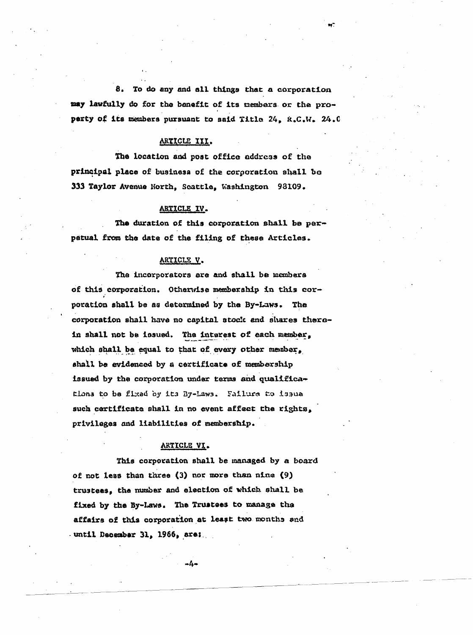8. To do any and all things that a corporation may lawfully do for the benefit of its members or the property of its members pursuant to said Title 24, R.C.W. 24.0

# ARTICLE III.

The location and post office address of the principal place of business of the corporation shall be 333 Taylor Avenue North, Scattle, Washington 93109.

# ARTICLE IV.

The duration of this corporation shall be perpatual from the date of the filing of these Articles.

#### ARTICLE V.

The incorporators are and shall be members of this corporation. Otherwise membership in this corporation shall be as determined by the By-Laws. The corporation shall have no capital stock and shares therein shall not be issued. The interest of each member, which shall be equal to that of every other member, shall be evidenced by a certificate of membership issued by the corporation under terms and qualifications to be fixed by its By-Laws. Failure to issue such certificate shall in no event affect the rights, privileges and liabilities of membership.

# ARTICLE VI.

This corporation shall be managed by a board of not less than three (3) nor more than nine (9) trustees, the mumber and election of which shall be fixed by the By-Laws. The Trustees to manage the affairs of this corporation at least two months and . until December 31, 1966, are:

 $-4-$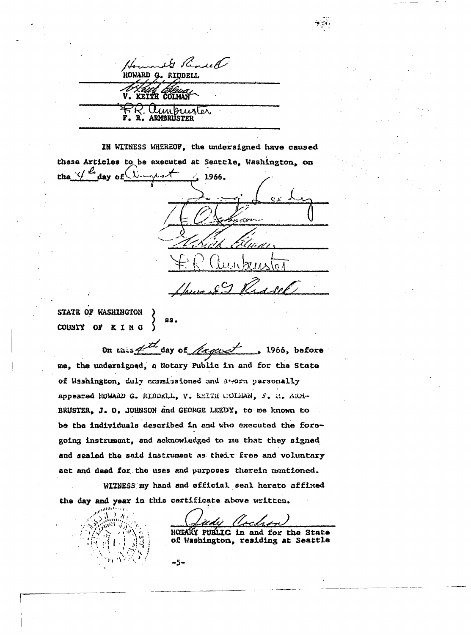Is Remark HOWARD G. RIDDELL. COLMAN KETTH  $\mu$ unknus تعص

IN WITNESS WHEREOF, the undersigned have caused these Articles to be executed at Seartle, Washington, on the  $4^{\omega}$  day of  $\omega_{\omega}$  $\frac{1}{2}$  1966. روسی سر در در INALIA CO Red cel

STATE OF WASHINGTON 83. COUNTY OF KING

On tais  $4^{th}$  day of *fuggest* 1966, before me, the undersigned, a Notary Public in and for the State of Washington, duly commissioned and swern parsonally appeared HUWARD G. RIDDELL, V. KEITH COLMAN, F. R. ARM-BRUSTER, J. O. JOHNSON and GEORGE LEEDY, to me known to be the individuals described in and who executed the foregoing instrument, and acknowledged to me that they signed and sealed the said instrument as their free and voluntary act and deed for the uses and purposes therein mentioned.

WITNESS my hand and official seal hereto affixed the day and year in this certificate above written.

-5-

NOTARY PUBLIC in and for the State of Washington, residing at Seattle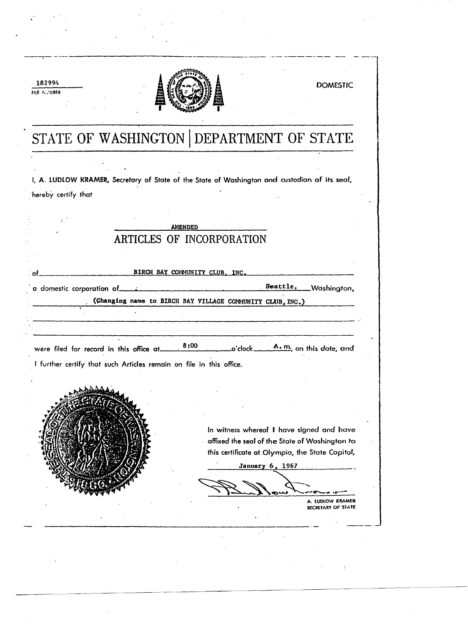

182994

FILE INCINBER

# STATE OF WASHINGTON DEPARTMENT OF STATE

I, A. LUDLOW KRAMER, Secretary of State of the State of Washington and custodian of its seal, hereby certify that

|                                                                     | <b>AMENDED</b>                 |                                 |                                                                                             |
|---------------------------------------------------------------------|--------------------------------|---------------------------------|---------------------------------------------------------------------------------------------|
|                                                                     | ARTICLES OF INCORPORATION      |                                 |                                                                                             |
|                                                                     |                                |                                 |                                                                                             |
|                                                                     | BIRCH BAY COMMUNITY CLUB, INC. |                                 |                                                                                             |
|                                                                     |                                |                                 | Seattle, Washington,                                                                        |
| (Changing name to BIRCH BAY VILLAGE COMMUNITY CLUB, INC.)           |                                |                                 |                                                                                             |
|                                                                     |                                |                                 |                                                                                             |
|                                                                     |                                |                                 |                                                                                             |
|                                                                     |                                |                                 |                                                                                             |
|                                                                     |                                |                                 |                                                                                             |
| were filed for record in this office at ______                      |                                | $8:00$ $A.m.$ on this date, and |                                                                                             |
| I further certify that such Articles remain on file in this office. |                                |                                 |                                                                                             |
|                                                                     |                                |                                 |                                                                                             |
|                                                                     |                                |                                 |                                                                                             |
|                                                                     |                                |                                 |                                                                                             |
|                                                                     |                                |                                 |                                                                                             |
|                                                                     |                                |                                 | In witness whereof I have signed and have<br>affixed the seal of the State of Washington to |
|                                                                     |                                |                                 | this certificate at Olympia, the State Capitol,                                             |
|                                                                     |                                | January 6, 1967                 |                                                                                             |
|                                                                     |                                |                                 |                                                                                             |

A. LUDLOW KRAMER SECRETARY OF STATE

**DOMESTIC**